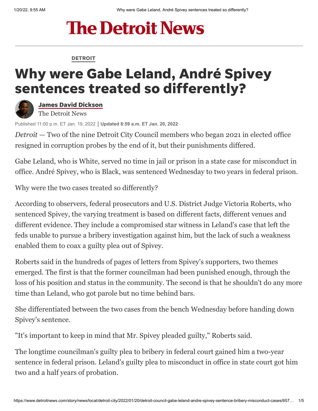# **The Detroit News**

#### [DETROIT](https://www.detroitnews.com/news/detroit/)

## Why were Gabe Leland, André Spivey sentences treated so differently?



James David [Dickson](https://www.detroitnews.com/staff/2647539001/james-david-dickson/) The Detroit News

Published 11:00 p.m. ET Jan. 19, 2022 **Updated 8:59 a.m. ET Jan. 20, 2022**

*Detroit* — Two of the nine Detroit City Council members who began 2021 in elected office resigned in corruption probes by the end of it, but their punishments differed.

Gabe Leland, who is White, served no time in jail or prison in a state case for misconduct in office. André Spivey, who is Black, was sentenced Wednesday to two years in federal prison.

Why were the two cases treated so differently?

According to observers, federal prosecutors and U.S. District Judge Victoria Roberts, who sentenced Spivey, the varying treatment is based on different facts, different venues and different evidence. They include a compromised star witness in Leland's case that left the feds unable to pursue a bribery investigation against him, but the lack of such a weakness enabled them to coax a guilty plea out of Spivey.

Roberts said in the hundreds of pages of letters from Spivey's supporters, two themes emerged. The first is that the former councilman had been punished enough, through the loss of his position and status in the community. The second is that he shouldn't do any more time than Leland, who got parole but no time behind bars.

She differentiated between the two cases from the bench Wednesday before handing down Spivey's sentence.

"It's important to keep in mind that Mr. Spivey pleaded guilty," Roberts said.

The longtime councilman's guilty plea to bribery in federal court gained him a two-year sentence in federal prison. Leland's guilty plea to misconduct in office in state court got him two and a half years of probation.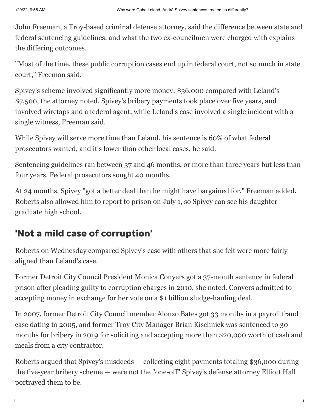John Freeman, a Troy-based criminal defense attorney, said the difference between state and federal sentencing guidelines, and what the two ex-councilmen were charged with explains the differing outcomes.

"Most of the time, these public corruption cases end up in federal court, not so much in state court," Freeman said.

Spivey's scheme involved significantly more money: \$36,000 compared with Leland's \$7,500, the attorney noted. Spivey's bribery payments took place over five years, and involved wiretaps and a federal agent, while Leland's case involved a single incident with a single witness, Freeman said.

While Spivey will serve more time than Leland, his sentence is 60% of what federal prosecutors wanted, and it's lower than other local cases, he said.

Sentencing guidelines ran between 37 and 46 months, or more than three years but less than four years. Federal prosecutors sought 40 months.

At 24 months, Spivey "got a better deal than he might have bargained for," Freeman added. Roberts also allowed him to report to prison on July 1, so Spivey can see his daughter graduate high school.

### 'Not a mild case of corruption'

Roberts on Wednesday compared Spivey's case with others that she felt were more fairly aligned than Leland's case.

Former Detroit City Council President Monica Conyers got a 37-month sentence in federal prison after pleading guilty to corruption charges in 2010, she noted. Conyers admitted to accepting money in exchange for her vote on a \$1 billion sludge-hauling deal.

In 2007, former Detroit City Council member Alonzo Bates got 33 months in a payroll fraud case [dating to 2005](https://www.upi.com/Top_News/2005/11/16/Detroit-councilman-accused-of-fraud/10271132161573/), and former Troy City Manager [Brian Kischnick](https://www.detroitnews.com/story/news/local/oakland-county/2019/01/24/former-troy-city-manager-sentenced-30-months-prison-bribery/2659902002/) was sentenced to 30 months for bribery in 2019 for soliciting and accepting more than \$20,000 worth of cash and meals from a city contractor.

Roberts argued that Spivey's misdeeds — collecting eight payments totaling \$36,000 during the five-year bribery scheme — were not the "one-off" Spivey's defense attorney Elliott Hall portrayed them to be.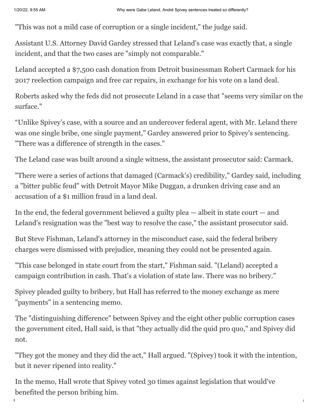"This was not a mild case of corruption or a single incident," the judge said.

Assistant U.S. Attorney David Gardey stressed that Leland's case was exactly that, a single incident, and that the two cases are "simply not comparable."

Leland accepted a \$7,500 cash donation from Detroit businessman Robert Carmack for his 2017 reelection campaign and free car repairs, in exchange for his vote on a land deal.

Roberts asked why the feds did not prosecute Leland in a case that "seems very similar on the surface."

"Unlike Spivey's case, with a source and an undercover federal agent, with Mr. Leland there was one single bribe, one single payment," Gardey answered prior to Spivey's sentencing. "There was a difference of strength in the cases."

The Leland case was built around a single witness, the assistant prosecutor said: Carmack.

"There were a series of actions that damaged (Carmack's) credibility," Gardey said, including a ["bitter public feud" with Detroit Mayor Mike Duggan,](https://www.detroitnews.com/story/news/local/detroit-city/2019/04/04/detroit-mayor-targeted-banners-over-comerica-park/3363098002/) a drunken driving case and an accusation of a \$1 million fraud in a land deal.

In the end, the federal government believed a guilty plea  $-$  albeit in state court  $-$  and Leland's resignation was the "best way to resolve the case," the assistant prosecutor said.

But Steve Fishman, Leland's attorney in the misconduct case, said the federal bribery charges were dismissed with prejudice, meaning they could not be presented again.

"This case belonged in state court from the start," Fishman said. "(Leland) accepted a campaign contribution in cash. That's a violation of state law. There was no bribery."

Spivey pleaded guilty to bribery, but Hall has referred to the money exchange as mere "payments" in a sentencing memo.

The "distinguishing difference" between Spivey and the eight other public corruption cases the government cited, Hall said, is that "they actually did the quid pro quo," and Spivey did not.

"They got the money and they did the act," Hall argued. "(Spivey) took it with the intention, but it never ripened into reality."

https://www.detroitnews.com/story/news/local/detroit-city/2022/01/20/detroit-council-gabe-leland-andre-spivey-sentence-bribery-misconduct-cases/657… 3/5

In the memo, Hall wrote that Spivey voted 30 times against legislation that would've benefited the person bribing him.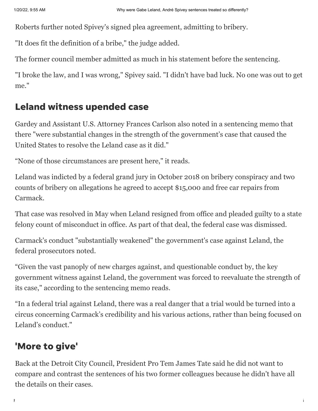Roberts further noted Spivey's signed plea agreement, admitting to bribery.

"It does fit the definition of a bribe," the judge added.

The former council member admitted as much in his statement before the sentencing.

"I broke the law, and I was wrong," Spivey said. "I didn't have bad luck. No one was out to get me."

#### Leland witness upended case

Gardey and Assistant U.S. Attorney Frances Carlson also noted in a sentencing memo that there "were substantial changes in the strength of the government's case that caused the United States to resolve the Leland case as it did."

"None of those circumstances are present here," it reads.

Leland was indicted by a federal grand jury in October 2018 on bribery conspiracy and two counts of bribery on allegations he agreed to accept \$15,000 and free car repairs from Carmack.

That case was resolved in May when Leland resigned from office and pleaded guilty to a state felony count of misconduct in office. As part of that deal, the federal case was dismissed.

Carmack's conduct "substantially weakened" the government's case against Leland, the federal prosecutors noted.

"Given the vast panoply of new charges against, and questionable conduct by, the key government witness against Leland, the government was forced to reevaluate the strength of its case," according to the sentencing memo reads.

"In a federal trial against Leland, there was a real danger that a trial would be turned into a circus concerning Carmack's credibility and his various actions, rather than being focused on Leland's conduct."

#### 'More to give'

Back at the Detroit City Council, President Pro Tem James Tate said he did not want to compare and contrast the sentences of his two former colleagues because he didn't have all the details on their cases.